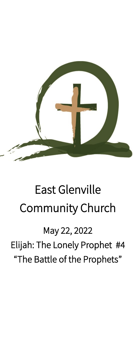

# East Glenville Community Church

# May 22, 2022

Elijah: The Lonely Prophet #4 "The Battle of the Prophets"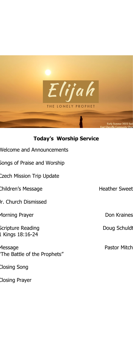

#### **Today's Worship Service**

| <b>Nelcome and Announcements</b> |  |
|----------------------------------|--|
|                                  |  |

Songs of Praise and Worship

Czech Mission Trip Update

Children's Message **Heather Sweet** 

Jr. Church Dismissed

Morning Prayer **Don Kraines** 

Scripture Reading and a settlement of Doug Schuldt 1 Kings 18:16-24

Message **Pastor Mitch** "The Battle of the Prophets"

Closing Song

Closing Prayer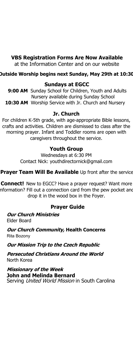#### **VBS Registration Forms Are Now Available**

at the Information Center and on our website

#### **Outside Worship begins next Sunday, May 29th at 10:30**

#### **Sundays at EGCC**

 **9:00 AM** Sunday School for Children, Youth and Adults Nursery available during Sunday School 10:30 AM Worship Service with Jr. Church and Nursery

#### **Jr. Church**

For children K-5th grade, with age-appropriate Bible lessons, crafts and activities. Children are dismissed to class after the morning prayer. Infant and Toddler rooms are open with caregivers throughout the service.

#### **Youth Group**

Wednesdays at 6:30 PM Contact Nick: youthdirectornick@gmail.com

**Prayer Team Will Be Available** Up front after the service

**Connect!** New to EGCC? Have a prayer request? Want more nformation? Fill out a connection card from the pew pocket and drop it in the wood box in the Foyer.

#### **Prayer Guide**

**Our Church Ministries** Elder Board

**Our Church Community, Health Concerns** Rita Bozony

**Our Mission Trip to the Czech Republic**

**Persecuted Christians Around the World** North Korea

**Missionary of the Week John and Melinda Bernard**  Serving United World Mission in South Carolina